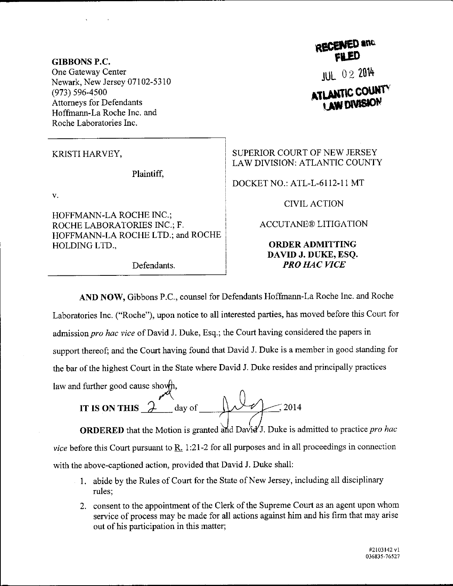GIBBONS P.C. One Gateway Center Newark, New Jersey 07102-5310 (973) 596-4500 Attorneys for Defendants Hoffmann-La Roche Inc. and Roche Laboratories Inc.

Plaintiff,

V.

HOFFMANN-LA ROCHE INC.; ROCHE LABORATORIES INC.; F, HOFFMANN-LA ROCHE LTD.; and ROCHE HOLDINGLTD.,

Defendants.

RECENED and

JuL 0 2 <sup>2014</sup> **ATLANTIC COUNT** 

KRISTI HARVEY, SUPERIOR COURT OF NEW JERSEY LAW DIVISION: ATLANTIC COUNTY

DOCKET NO.: ATL-L-6112-11 MT

CIVIL ACTION

ACCUTANE@ LITIGATION

## ORDERADMITTING DAVID J. DUKE, ESQ. PRO HAC VICE

AND NOW, Gibbons P.C., counsel for Defendants Hoffmann-La Roche Inc. and Roche

Laboratories Inc. ("Roche"), upon notice to all interested parties, has moved before this Court for admission pro hac vice of David J. Duke, Esq.; the Court having considered the papers in support thereof; and the Court having found that David J. Duke is a member in good standing for the bar of the highest Court in the State where David J. Duke resides and principally practices

law and further good cause showth,<br>IT IS ON THIS  $\overbrace{\phantom{a}}^{\qquad}$  day of IT IS ON THIS  $\lambda$  day of  $\lambda \sim \ell \sim 2014$ 

**ORDERED** that the Motion is granted and David'J. Duke is admitted to practice pro hac vice before this Court pursuant to  $R_1$  1:21-2 for all purposes and in all proceedings in connection with the above-captioned action, provided that David J. Duke shall:

- 1. abide by the Rules of Court for the State of New Jersey, including all disciplinary rules;
- 2. consent to the appointment of the Clerk of the Supreme Court as an agent upon whom service of process may be made for all actions against him and his firm that may arise out of his participation in this matter;